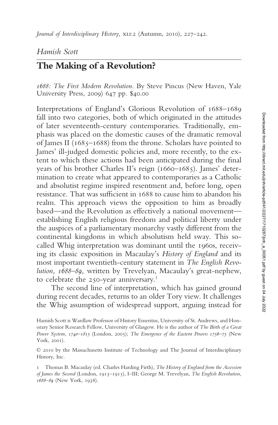*Journal of Interdisciplinary History, XLI:2 (Autumn, 2010), 227–242.* 

## *Hamish Scott*

# **The Making of a Revolution?**

*1688: The First Modern Revolution.* By Steve Pincus (New Haven, Yale University Press, 2009) 647 pp. \$40.00

Interpretations of England's Glorious Revolution of 1688–1689 fall into two categories, both of which originated in the attitudes of later seventeenth-century contemporaries. Traditionally, emphasis was placed on the domestic causes of the dramatic removal of James II ( $1685-1688$ ) from the throne. Scholars have pointed to James' ill-judged domestic policies and, more recently, to the extent to which these actions had been anticipated during the final years of his brother Charles II's reign (1660–1685). James' determination to create what appeared to contemporaries as a Catholic and absolutist regime inspired resentment and, before long, open resistance. That was sufficient in 1688 to cause him to abandon his realm. This approach views the opposition to him as broadly based—and the Revolution as effectively a national movement establishing English religious freedom and political liberty under the auspices of a parliamentary monarchy vastly different from the continental kingdoms in which absolutism held sway. This socalled Whig interpretation was dominant until the 1960s, receiving its classic exposition in Macaulay's *History of England* and its most important twentieth-century statement in *The English Revolution, 1688–89,* written by Trevelyan, Macaulay's great-nephew, to celebrate the 250-year anniversary.<sup>1</sup>

The second line of interpretation, which has gained ground during recent decades, returns to an older Tory view. It challenges the Whig assumption of widespread support, arguing instead for

Hamish Scott is Wardlaw Professor of History Emeritus, University of St. Andrews, and Honorary Senior Research Fellow, University of Glasgow. He is the author of *The Birth of a Great Power System, 1740–1815* (London, 2005); *The Emergence of the Eastern Powers 1756–75* (New York, 2001).

<sup>© 2010</sup> by the Massachusetts Institute of Technology and The Journal of Interdisciplinary History, Inc.

<sup>1</sup> Thomas B. Macaulay (ed. Charles Harding Firth), *The History of England from the Accession of James the Second* (London, 1913–1915), I–III; George M. Trevelyan, *The English Revolution, 1688–89* (New York, 1938).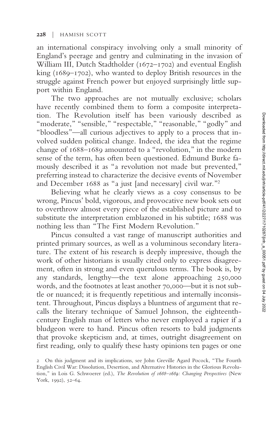an international conspiracy involving only a small minority of England's peerage and gentry and culminating in the invasion of William III, Dutch Stadtholder (1672–1702) and eventual English king (1689–1702), who wanted to deploy British resources in the struggle against French power but enjoyed surprisingly little support within England.

The two approaches are not mutually exclusive; scholars have recently combined them to form a composite interpretation. The Revolution itself has been variously described as "moderate," "sensible," "respectable," "reasonable," "godly" and "bloodless"—all curious adjectives to apply to a process that involved sudden political change. Indeed, the idea that the regime change of 1688–1689 amounted to a "revolution," in the modern sense of the term, has often been questioned. Edmund Burke famously described it as "a revolution not made but prevented," preferring instead to characterize the decisive events of November and December 1688 as "a just [and necessary] civil war."<sup>2</sup>

Believing what he clearly views as a cosy consensus to be wrong, Pincus' bold, vigorous, and provocative new book sets out to overthrow almost every piece of the established picture and to substitute the interpretation emblazoned in his subtitle; 1688 was nothing less than "The First Modern Revolution."

Pincus consulted a vast range of manuscript authorities and printed primary sources, as well as a voluminous secondary literature. The extent of his research is deeply impressive, though the work of other historians is usually cited only to express disagreement, often in strong and even querulous terms. The book is, by any standards, lengthy—the text alone approaching 250,000 words, and the footnotes at least another 70,000—but it is not subtle or nuanced; it is frequently repetitious and internally inconsistent. Throughout, Pincus displays a bluntness of argument that recalls the literary technique of Samuel Johnson, the eighteenthcentury English man of letters who never employed a rapier if a bludgeon were to hand. Pincus often resorts to bald judgments that provoke skepticism and, at times, outright disagreement on first reading, only to qualify these hasty opinions ten pages or one

<sup>2</sup> On this judgment and its implications, see John Greville Agard Pocock, "The Fourth English Civil War: Dissolution, Desertion, and Alternative Histories in the Glorious Revolution," in Lois G. Schwoerer (ed.), *The Revolution of 1688–1689: Changing Perspectives* (New York, 1992), 52–64.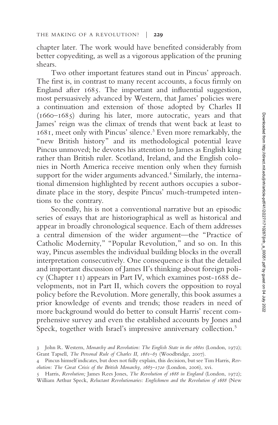chapter later. The work would have benefited considerably from better copyediting, as well as a vigorous application of the pruning shears.

Two other important features stand out in Pincus' approach. The first is, in contrast to many recent accounts, a focus firmly on England after  $1685$ . The important and influential suggestion, most persuasively advanced by Western, that James' policies were a continuation and extension of those adopted by Charles II (1660–1685) during his later, more autocratic, years and that James' reign was the climax of trends that went back at least to 1681, meet only with Pincus' silence.<sup>3</sup> Even more remarkably, the "new British history" and its methodological potential leave Pincus unmoved; he devotes his attention to James as English king rather than British ruler. Scotland, Ireland, and the English colonies in North America receive mention only when they furnish support for the wider arguments advanced.<sup>4</sup> Similarly, the international dimension highlighted by recent authors occupies a subordinate place in the story, despite Pincus' much-trumpeted intentions to the contrary.

Secondly, his is not a conventional narrative but an episodic series of essays that are historiographical as well as historical and appear in broadly chronological sequence. Each of them addresses a central dimension of the wider argument—the "Practice of Catholic Modernity," "Popular Revolution," and so on. In this way, Pincus assembles the individual building blocks in the overall interpretation consecutively. One consequence is that the detailed and important discussion of James II's thinking about foreign policy (Chapter 11) appears in Part IV, which examines post-1688 developments, not in Part II, which covers the opposition to royal policy before the Revolution. More generally, this book assumes a prior knowledge of events and trends; those readers in need of more background would do better to consult Harris' recent comprehensive survey and even the established accounts by Jones and Speck, together with Israel's impressive anniversary collection.<sup>5</sup>

<sup>3</sup> John R. Western, *Monarchy and Revolution: The English State in the 1680s* (London, 1972); Grant Tapsell, *The Personal Rule of Charles II, 1681–85* (Woodbridge, 2007).

<sup>4</sup> Pincus himself indicates, but does not fully explain, this decision, but see Tim Harris, *Revolution: The Great Crisis of the British Monarchy, 1685–1720* (London, 2006), xvi.

<sup>5</sup> Harris, *Revolution;* James Rees Jones, *The Revolution of 1688 in England* (London, 1972); William Arthur Speck, *Reluctant Revolutionaries: Englishmen and the Revolution of 1688* (New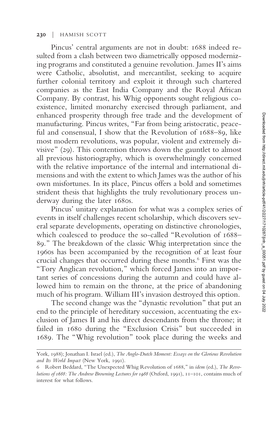### **230** | HAMISH SCOTT

Pincus' central arguments are not in doubt: 1688 indeed resulted from a clash between two diametrically opposed modernizing programs and constituted a genuine revolution. James II's aims were Catholic, absolutist, and mercantilist, seeking to acquire further colonial territory and exploit it through such chartered companies as the East India Company and the Royal African Company. By contrast, his Whig opponents sought religious coexistence, limited monarchy exercised through parliament, and enhanced prosperity through free trade and the development of manufacturing. Pincus writes, "Far from being aristocratic, peaceful and consensual, I show that the Revolution of 1688–89, like most modern revolutions, was popular, violent and extremely divisive" (29). This contention throws down the gauntlet to almost all previous historiography, which is overwhelmingly concerned with the relative importance of the internal and international dimensions and with the extent to which James was the author of his own misfortunes. In its place, Pincus offers a bold and sometimes strident thesis that highlights the truly revolutionary process underway during the later 1680s.

Pincus' unitary explanation for what was a complex series of events in itself challenges recent scholarship, which discovers several separate developments, operating on distinctive chronologies, which coalesced to produce the so-called "Revolution of 1688– 89." The breakdown of the classic Whig interpretation since the 1960s has been accompanied by the recognition of at least four crucial changes that occurred during these months.<sup>6</sup> First was the "Tory Anglican revolution," which forced James into an important series of concessions during the autumn and could have allowed him to remain on the throne, at the price of abandoning much of his program. William III's invasion destroyed this option.

The second change was the "dynastic revolution" that put an end to the principle of hereditary succession, accentuating the exclusion of James II and his direct descendants from the throne; it failed in 1680 during the "Exclusion Crisis" but succeeded in 1689. The "Whig revolution" took place during the weeks and

York, 1988); Jonathan I. Israel (ed.), *The Anglo-Dutch Moment: Essays on the Glorious Revolution and Its World Impact* (New York, 1991).

<sup>6</sup> Robert Beddard, "The Unexpected Whig Revolution of 1688," in *idem* (ed.), *The Revolutions of 1688: The Andrew Browning Lectures for 1988* (Oxford, 1991), 11–101, contains much of interest for what follows.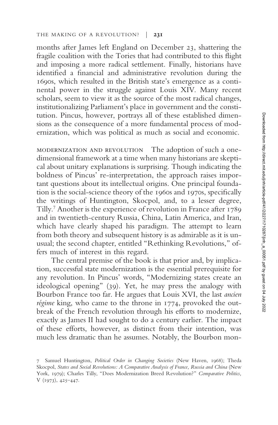months after James left England on December 23, shattering the fragile coalition with the Tories that had contributed to this flight and imposing a more radical settlement. Finally, historians have identified a financial and administrative revolution during the 1690s, which resulted in the British state's emergence as a continental power in the struggle against Louis XIV. Many recent scholars, seem to view it as the source of the most radical changes, institutionalizing Parliament's place in government and the constitution. Pincus, however, portrays all of these established dimensions as the consequence of a more fundamental process of modernization, which was political as much as social and economic.

modernization and revolution The adoption of such a onedimensional framework at a time when many historians are skeptical about unitary explanations is surprising. Though indicating the boldness of Pincus' re-interpretation, the approach raises important questions about its intellectual origins. One principal foundation is the social-science theory of the 1960s and 1970s, specifically the writings of Huntington, Skocpol, and, to a lesser degree, Tilly.<sup>7</sup> Another is the experience of revolution in France after 1789 and in twentieth-century Russia, China, Latin America, and Iran, which have clearly shaped his paradigm. The attempt to learn from both theory and subsequent history is as admirable as it is unusual; the second chapter, entitled "Rethinking Revolutions," offers much of interest in this regard.

The central premise of the book is that prior and, by implication, successful state modernization is the essential prerequisite for any revolution. In Pincus' words, "Modernizing states create an ideological opening" (39). Yet, he may press the analogy with Bourbon France too far. He argues that Louis XVI, the last *ancien régime* king, who came to the throne in 1774, provoked the outbreak of the French revolution through his efforts to modernize, exactly as James II had sought to do a century earlier. The impact of these efforts, however, as distinct from their intention, was much less dramatic than he assumes. Notably, the Bourbon mon-

<sup>7</sup> Samuel Huntington, *Political Order in Changing Societies* (New Haven, 1968); Theda Skocpol, *States and Social Revolutions: A Comparative Analysis of France, Russia and China* (New York, 1979); Charles Tilly, "Does Modernization Breed Revolution?" *Comparative Politics,* V (1973), 425–447.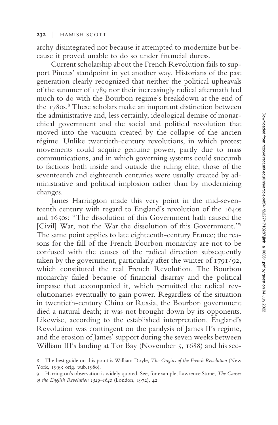#### **232** | HAMISH SCOTT

archy disintegrated not because it attempted to modernize but because it proved unable to do so under financial duress.

Current scholarship about the French Revolution fails to support Pincus' standpoint in yet another way. Historians of the past generation clearly recognized that neither the political upheavals of the summer of 1789 nor their increasingly radical aftermath had much to do with the Bourbon regime's breakdown at the end of the 1780s.<sup>8</sup> These scholars make an important distinction between the administrative and, less certainly, ideological demise of monarchical government and the social and political revolution that moved into the vacuum created by the collapse of the ancien régime. Unlike twentieth-century revolutions, in which protest movements could acquire genuine power, partly due to mass communications, and in which governing systems could succumb to factions both inside and outside the ruling elite, those of the seventeenth and eighteenth centuries were usually created by administrative and political implosion rather than by modernizing changes.

James Harrington made this very point in the mid-seventeenth century with regard to England's revolution of the 1640s and 1650s: "The dissolution of this Government hath caused the [Civil] War, not the War the dissolution of this Government."<sup>9</sup> The same point applies to late eighteenth-century France; the reasons for the fall of the French Bourbon monarchy are not to be confused with the causes of the radical direction subsequently taken by the government, particularly after the winter of 1791/92, which constituted the real French Revolution. The Bourbon monarchy failed because of financial disarray and the political impasse that accompanied it, which permitted the radical revolutionaries eventually to gain power. Regardless of the situation in twentieth-century China or Russia, the Bourbon government died a natural death; it was not brought down by its opponents. Likewise, according to the established interpretation, England's Revolution was contingent on the paralysis of James II's regime, and the erosion of James' support during the seven weeks between William III's landing at Tor Bay (November 5, 1688) and his sec-

<sup>8</sup> The best guide on this point is William Doyle, *The Origins of the French Revolution* (New York, 1999; orig. pub.1980).

<sup>9</sup> Harrington's observation is widely quoted. See, for example, Lawrence Stone, *The Causes of the English Revolution 1529–1642* (London, 1972), 42.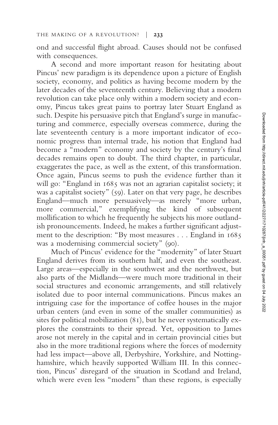ond and successful flight abroad. Causes should not be confused with consequences.

A second and more important reason for hesitating about Pincus' new paradigm is its dependence upon a picture of English society, economy, and politics as having become modern by the later decades of the seventeenth century. Believing that a modern revolution can take place only within a modern society and economy, Pincus takes great pains to portray later Stuart England as such. Despite his persuasive pitch that England's surge in manufacturing and commerce, especially overseas commerce, during the late seventeenth century is a more important indicator of economic progress than internal trade, his notion that England had become a "modern" economy and society by the century's final decades remains open to doubt. The third chapter, in particular, exaggerates the pace, as well as the extent, of this transformation. Once again, Pincus seems to push the evidence further than it will go: "England in 1685 was not an agrarian capitalist society; it was a capitalist society" (59). Later on that very page, he describes England—much more persuasively—as merely "more urban, more commercial," exemplifying the kind of subsequent mollification to which he frequently he subjects his more outlandish pronouncements. Indeed, he makes a further significant adjustment to the description: "By most measures... England in 1685 was a modernising commercial society" (90).

Much of Pincus' evidence for the "modernity" of later Stuart England derives from its southern half, and even the southeast. Large areas—especially in the southwest and the northwest, but also parts of the Midlands—were much more traditional in their social structures and economic arrangements, and still relatively isolated due to poor internal communications. Pincus makes an intriguing case for the importance of coffee houses in the major urban centers (and even in some of the smaller communities) as sites for political mobilization (81), but he never systematically explores the constraints to their spread. Yet, opposition to James arose not merely in the capital and in certain provincial cities but also in the more traditional regions where the forces of modernity had less impact—above all, Derbyshire, Yorkshire, and Nottinghamshire, which heavily supported William III. In this connection, Pincus' disregard of the situation in Scotland and Ireland, which were even less "modern" than these regions, is especially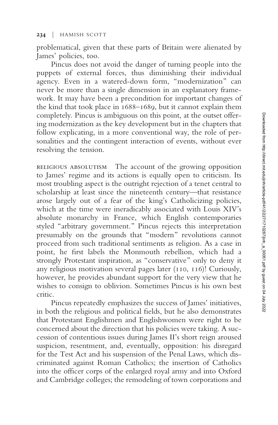problematical, given that these parts of Britain were alienated by James' policies, too.

Pincus does not avoid the danger of turning people into the puppets of external forces, thus diminishing their individual agency. Even in a watered-down form, "modernization" can never be more than a single dimension in an explanatory framework. It may have been a precondition for important changes of the kind that took place in 1688–1689, but it cannot explain them completely. Pincus is ambiguous on this point, at the outset offering modernization as the key development but in the chapters that follow explicating, in a more conventional way, the role of personalities and the contingent interaction of events, without ever resolving the tension.

religious absolutism The account of the growing opposition to James' regime and its actions is equally open to criticism. Its most troubling aspect is the outright rejection of a tenet central to scholarship at least since the nineteenth century—that resistance arose largely out of a fear of the king's Catholicizing policies, which at the time were ineradicably associated with Louis XIV's absolute monarchy in France, which English contemporaries styled "arbitrary government." Pincus rejects this interpretation presumably on the grounds that "modern" revolutions cannot proceed from such traditional sentiments as religion. As a case in point, he first labels the Monmouth rebellion, which had a strongly Protestant inspiration, as "conservative" only to deny it any religious motivation several pages later (110, 116)! Curiously, however, he provides abundant support for the very view that he wishes to consign to oblivion. Sometimes Pincus is his own best critic.

Pincus repeatedly emphasizes the success of James' initiatives, in both the religious and political fields, but he also demonstrates that Protestant Englishmen and Englishwomen were right to be concerned about the direction that his policies were taking. A succession of contentious issues during James II's short reign aroused suspicion, resentment, and, eventually, opposition: his disregard for the Test Act and his suspension of the Penal Laws, which discriminated against Roman Catholics; the insertion of Catholics into the officer corps of the enlarged royal army and into Oxford and Cambridge colleges; the remodeling of town corporations and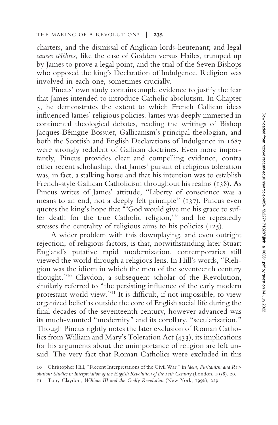charters, and the dismissal of Anglican lords-lieutenant; and legal *causes célèbres,* like the case of Godden versus Hailes, trumped up by James to prove a legal point, and the trial of the Seven Bishops who opposed the king's Declaration of Indulgence. Religion was involved in each one, sometimes crucially.

Pincus' own study contains ample evidence to justify the fear that James intended to introduce Catholic absolutism. In Chapter 5, he demonstrates the extent to which French Gallican ideas influenced James' religious policies. James was deeply immersed in continental theological debates, reading the writings of Bishop Jacques-Bénigne Bossuet, Gallicanism's principal theologian, and both the Scottish and English Declarations of Indulgence in 1687 were strongly redolent of Gallican doctrines. Even more importantly, Pincus provides clear and compelling evidence, contra other recent scholarship, that James' pursuit of religious toleration was, in fact, a stalking horse and that his intention was to establish French-style Gallican Catholicism throughout his realms (138). As Pincus writes of James' attitude, "Liberty of conscience was a means to an end, not a deeply felt principle" (137). Pincus even quotes the king's hope that "'God would give me his grace to suffer death for the true Catholic religion,'" and he repeatedly stresses the centrality of religious aims to his policies (125).

A wider problem with this downplaying, and even outright rejection, of religious factors, is that, notwithstanding later Stuart England's putative rapid modernization, contemporaries still viewed the world through a religious lens. In Hill's words, "Religion was the idiom in which the men of the seventeenth century thought."<sup>10</sup> Claydon, a subsequent scholar of the Revolution, similarly referred to "the persisting influence of the early modern protestant world view."<sup>11</sup> It is difficult, if not impossible, to view organized belief as outside the core of English social life during the final decades of the seventeenth century, however advanced was its much-vaunted "modernity" and its corollary, "secularization." Though Pincus rightly notes the later exclusion of Roman Catholics from William and Mary's Toleration Act (433), its implications for his arguments about the unimportance of religion are left unsaid. The very fact that Roman Catholics were excluded in this

<sup>10</sup> Christopher Hill, "Recent Interpretations of the Civil War," in *idem, Puritanism and Revolution: Studies in Interpretation of the English Revolution of the 17th Century* (London, 1958), 29.

<sup>11</sup> Tony Claydon, *William III and the Godly Revolution* (New York, 1996), 229.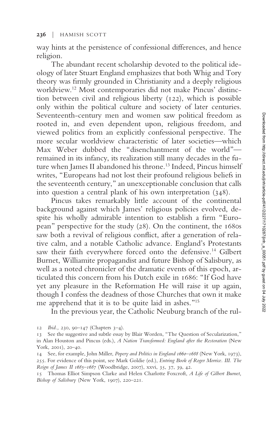way hints at the persistence of confessional differences, and hence religion.

The abundant recent scholarship devoted to the political ideology of later Stuart England emphasizes that both Whig and Tory theory was firmly grounded in Christianity and a deeply religious worldview.<sup>12</sup> Most contemporaries did not make Pincus' distinction between civil and religious liberty (122), which is possible only within the political culture and society of later centuries. Seventeenth-century men and women saw political freedom as rooted in, and even dependent upon, religious freedom, and viewed politics from an explicitly confessional perspective. The more secular worldview characteristic of later societies—which Max Weber dubbed the "disenchantment of the world" remained in its infancy, its realization still many decades in the future when James II abandoned his throne.<sup>13</sup> Indeed, Pincus himself writes, "Europeans had not lost their profound religious beliefs in the seventeenth century," an unexceptionable conclusion that calls into question a central plank of his own interpretation (348).

Pincus takes remarkably little account of the continental background against which James' religious policies evolved, despite his wholly admirable intention to establish a firm "European" perspective for the study (28). On the continent, the 1680s saw both a revival of religious conflict, after a generation of relative calm, and a notable Catholic advance. England's Protestants saw their faith everywhere forced onto the defensive.<sup>14</sup> Gilbert Burnet, Williamite propagandist and future Bishop of Salisbury, as well as a noted chronicler of the dramatic events of this epoch, articulated this concern from his Dutch exile in 1686: "If God have yet any pleasure in the Reformation He will raise it up again, though I confess the deadness of those Churches that own it make me apprehend that it is to be quite laid in ashes."<sup>15</sup>

In the previous year, the Catholic Neuburg branch of the rul-

12 *Ibid.,* 230, 90–147 (Chapters 3–4).

<sup>13</sup> See the suggestive and subtle essay by Blair Worden, "The Question of Secularization," in Alan Houston and Pincus (eds.), *A Nation Transformed: England after the Restoration* (New York, 2001), 20–40.

<sup>14</sup> See, for example, John Miller, *Popery and Politics in England 1660–1688* (New York, 1973), 255. For evidence of this point, see Mark Goldie (ed.), *Entring Book of Roger Morrice. III. The Reign of James II 1685–1687* (Woodbridge, 2007), xxvi, 35, 37, 39, 42.

<sup>15</sup> Thomas Elliot Simpson Clarke and Helen Charlotte Foxcroft, *A Life of Gilbert Burnet, Bishop of Salisbury* (New York, 1907), 220–221.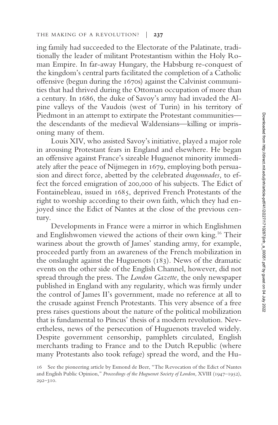ing family had succeeded to the Electorate of the Palatinate, traditionally the leader of militant Protestantism within the Holy Roman Empire. In far-away Hungary, the Habsburg re-conquest of the kingdom's central parts facilitated the completion of a Catholic offensive (begun during the 1670s) against the Calvinist communities that had thrived during the Ottoman occupation of more than a century. In 1686, the duke of Savoy's army had invaded the Alpine valleys of the Vaudois (west of Turin) in his territory of Piedmont in an attempt to extirpate the Protestant communities the descendants of the medieval Waldensians—killing or imprisoning many of them.

Louis XIV, who assisted Savoy's initiative, played a major role in arousing Protestant fears in England and elsewhere. He began an offensive against France's sizeable Huguenot minority immediately after the peace of Nijmegen in 1679, employing both persuasion and direct force, abetted by the celebrated *dragonnades,* to effect the forced emigration of 200,000 of his subjects. The Edict of Fontainebleau, issued in 1685, deprived French Protestants of the right to worship according to their own faith, which they had enjoyed since the Edict of Nantes at the close of the previous century.

Developments in France were a mirror in which Englishmen and Englishwomen viewed the actions of their own king.<sup>16</sup> Their wariness about the growth of James' standing army, for example, proceeded partly from an awareness of the French mobilization in the onslaught against the Huguenots (183). News of the dramatic events on the other side of the English Channel, however, did not spread through the press. The *London Gazette,* the only newspaper published in England with any regularity, which was firmly under the control of James II's government, made no reference at all to the crusade against French Protestants. This very absence of a free press raises questions about the nature of the political mobilization that is fundamental to Pincus' thesis of a modern revolution. Nevertheless, news of the persecution of Huguenots traveled widely. Despite government censorship, pamphlets circulated, English merchants trading to France and to the Dutch Republic (where many Protestants also took refuge) spread the word, and the Hu-

<sup>16</sup> See the pioneering article by Esmond de Beer, "The Revocation of the Edict of Nantes and English Public Opinion," *Proceedings of the Huguenot Society of London,* XVIII (1947–1952), 292–310.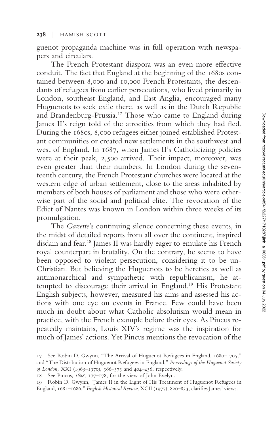guenot propaganda machine was in full operation with newspapers and circulars.

The French Protestant diaspora was an even more effective conduit. The fact that England at the beginning of the 1680s contained between 8,000 and 10,000 French Protestants, the descendants of refugees from earlier persecutions, who lived primarily in London, southeast England, and East Anglia, encouraged many Huguenots to seek exile there, as well as in the Dutch Republic and Brandenburg-Prussia.<sup>17</sup> Those who came to England during James II's reign told of the atrocities from which they had fled. During the 1680s, 8,000 refugees either joined established Protestant communities or created new settlements in the southwest and west of England. In 1687, when James II's Catholicizing policies were at their peak, 2,500 arrived. Their impact, moreover, was even greater than their numbers. In London during the seventeenth century, the French Protestant churches were located at the western edge of urban settlement, close to the areas inhabited by members of both houses of parliament and those who were otherwise part of the social and political elite. The revocation of the Edict of Nantes was known in London within three weeks of its promulgation.

The *Gazette*'s continuing silence concerning these events, in the midst of detailed reports from all over the continent, inspired disdain and fear.<sup>18</sup> James II was hardly eager to emulate his French royal counterpart in brutality. On the contrary, he seems to have been opposed to violent persecution, considering it to be un-Christian. But believing the Huguenots to be heretics as well as antimonarchical and sympathetic with republicanism, he attempted to discourage their arrival in England.<sup>19</sup> His Protestant English subjects, however, measured his aims and assessed his actions with one eye on events in France. Few could have been much in doubt about what Catholic absolutism would mean in practice, with the French example before their eyes. As Pincus repeatedly maintains, Louis XIV's regime was the inspiration for much of James' actions. Yet Pincus mentions the revocation of the

<sup>17</sup> See Robin D. Gwynn, "The Arrival of Huguenot Refugees in England, 1680–1705," and "The Distribution of Huguenot Refugees in England," *Proceedings of the Huguenot Society of London,* XXI (1965–1970), 366–373 and 404–436, respectively.

<sup>18</sup> See Pincus, *1688,* 177–178, for the view of John Evelyn.

<sup>19</sup> Robin D. Gwynn, "James II in the Light of His Treatment of Huguenot Refugees in England, 1685–1686," *English Historical Review, XCII* (1977), 820–833, clarifies James' views.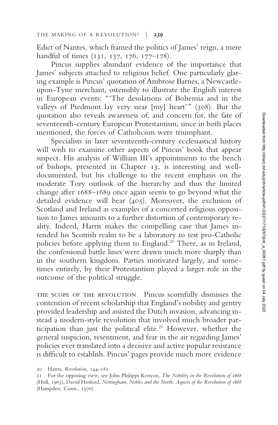Edict of Nantes, which framed the politics of James' reign, a mere handful of times (131, 137, 176, 177–178).

Pincus supplies abundant evidence of the importance that James' subjects attached to religious belief. One particularly glaring example is Pincus' quotation of Ambrose Barnes, a Newcastleupon-Tyne merchant, ostensibly to illustrate the English interest in European events: "'The desolations of Bohemia and in the valleys of Piedmont lay very near [my] heart'" (308). But the quotation also reveals awareness of, and concern for, the fate of seventeenth-century European Protestantism, since in both places mentioned, the forces of Catholicism were triumphant.

Specialists in later seventeenth-century ecclesiastical history will wish to examine other aspects of Pincus' book that appear suspect. His analysis of William III's appointments to the bench of bishops, presented in Chapter 13, is interesting and welldocumented, but his challenge to the recent emphasis on the moderate Tory outlook of the hierarchy and thus the limited change after 1688–1689 once again seems to go beyond what the detailed evidence will bear (405). Moreover, the exclusion of Scotland and Ireland as examples of a concerted religious opposition to James amounts to a further distortion of contemporary reality. Indeed, Harris makes the compelling case that James intended his Scottish realm to be a laboratory to test pro-Catholic policies before applying them to England.<sup>20</sup> There, as in Ireland, the confessional battle lines were drawn much more sharply than in the southern kingdom. Parties motivated largely, and sometimes entirely, by their Protestantism played a larger role in the outcome of the political struggle.

the scope of the revolution Pincus scornfully dismisses the contention of recent scholarship that England's nobility and gentry provided leadership and assisted the Dutch invasion, advancing instead a modern-style revolution that involved much broader participation than just the political elite.<sup>21</sup> However, whether the general suspicion, resentment, and fear in the air regarding James' policies ever translated into a decisive and active popular resistance is difficult to establish. Pincus' pages provide much more evidence

<sup>20</sup> Harris, *Revolution,* 144–181.

<sup>21</sup> For the opposing view, see John Philipps Kenyon, *The Nobility in the Revolution of 1688* (Hull, 1963); David Hosford, *Nottingham, Nobles and the North: Aspects of the Revolution of 1688* (Hampden, Conn., 1976).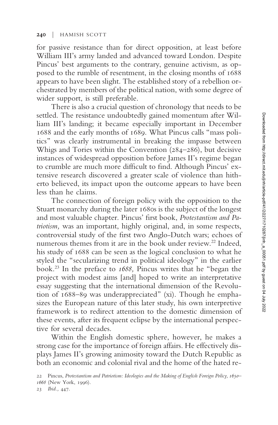for passive resistance than for direct opposition, at least before William III's army landed and advanced toward London. Despite Pincus' best arguments to the contrary, genuine activism, as opposed to the rumble of resentment, in the closing months of 1688 appears to have been slight. The established story of a rebellion orchestrated by members of the political nation, with some degree of wider support, is still preferable.

There is also a crucial question of chronology that needs to be settled. The resistance undoubtedly gained momentum after William III's landing; it became especially important in December 1688 and the early months of 1689. What Pincus calls "mass politics" was clearly instrumental in breaking the impasse between Whigs and Tories within the Convention (284–286), but decisive instances of widespread opposition before James II's regime began to crumble are much more difficult to find. Although Pincus' extensive research discovered a greater scale of violence than hitherto believed, its impact upon the outcome appears to have been less than he claims.

The connection of foreign policy with the opposition to the Stuart monarchy during the later 1680s is the subject of the longest and most valuable chapter. Pincus' first book, *Protestantism and Patriotism,* was an important, highly original, and, in some respects, controversial study of the first two Anglo-Dutch wars; echoes of numerous themes from it are in the book under review.<sup>22</sup> Indeed, his study of 1688 can be seen as the logical conclusion to what he styled the "secularizing trend in political ideology" in the earlier book.<sup>23</sup> In the preface to *1688,* Pincus writes that he "began the project with modest aims [and] hoped to write an interpretative essay suggesting that the international dimension of the Revolution of 1688–89 was underappreciated" (xi). Though he emphasizes the European nature of this later study, his own interpretive framework is to redirect attention to the domestic dimension of these events, after its frequent eclipse by the international perspective for several decades.

Within the English domestic sphere, however, he makes a strong case for the importance of foreign affairs. He effectively displays James II's growing animosity toward the Dutch Republic as both an economic and colonial rival and the home of the hated re-

<sup>22</sup> Pincus, *Protestantism and Patriotism: Ideologies and the Making of English Foreign Policy, 1650– 1668* (New York, 1996).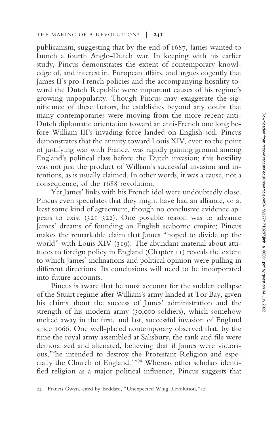publicanism, suggesting that by the end of 1687, James wanted to launch a fourth Anglo-Dutch war. In keeping with his earlier study, Pincus demonstrates the extent of contemporary knowledge of, and interest in, European affairs, and argues cogently that James II's pro-French policies and the accompanying hostility toward the Dutch Republic were important causes of his regime's growing unpopularity. Though Pincus may exaggerate the significance of these factors, he establishes beyond any doubt that many contemporaries were moving from the more recent anti-Dutch diplomatic orientation toward an anti-French one long before William III's invading force landed on English soil. Pincus demonstrates that the enmity toward Louis XIV, even to the point of justifying war with France, was rapidly gaining ground among England's political class before the Dutch invasion; this hostility was not just the product of William's successful invasion and intentions, as is usually claimed. In other words, it was a cause, not a consequence, of the 1688 revolution.

Yet James' links with his French idol were undoubtedly close. Pincus even speculates that they might have had an alliance, or at least some kind of agreement, though no conclusive evidence appears to exist (321–322). One possible reason was to advance James' dreams of founding an English seaborne empire; Pincus makes the remarkable claim that James "hoped to divide up the world" with Louis XIV (319). The abundant material about attitudes to foreign policy in England (Chapter 11) reveals the extent to which James' inclinations and political opinion were pulling in different directions. Its conclusions will need to be incorporated into future accounts.

Pincus is aware that he must account for the sudden collapse of the Stuart regime after William's army landed at Tor Bay, given his claims about the success of James' administration and the strength of his modern army (30,000 soldiers), which somehow melted away in the first, and last, successful invasion of England since 1066. One well-placed contemporary observed that, by the time the royal army assembled at Salisbury, the rank and file were demoralized and alienated, believing that if James were victorious,"'he intended to destroy the Protestant Religion and especially the Church of England.'"<sup>24</sup> Whereas other scholars identified religion as a major political influence, Pincus suggests that